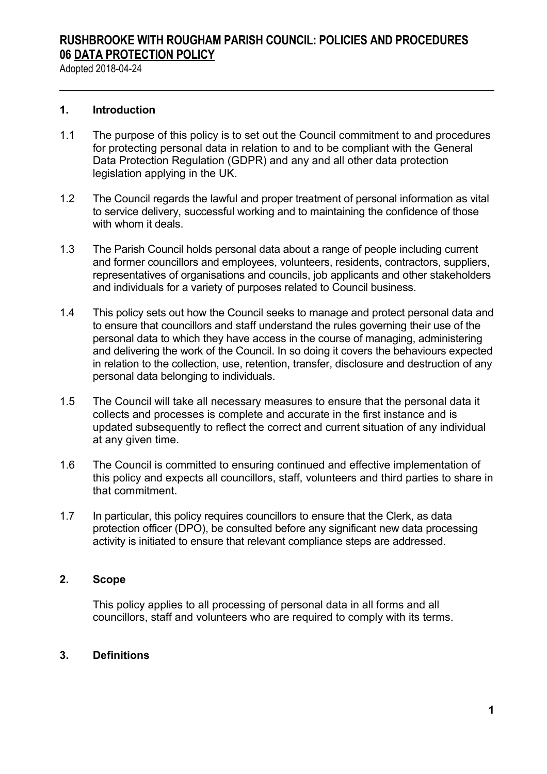Adopted 2018-04-24

#### **1. Introduction**

- 1.1 The purpose of this policy is to set out the Council commitment to and procedures for protecting personal data in relation to and to be compliant with the General Data Protection Regulation (GDPR) and any and all other data protection legislation applying in the UK.
- 1.2 The Council regards the lawful and proper treatment of personal information as vital to service delivery, successful working and to maintaining the confidence of those with whom it deals.
- 1.3 The Parish Council holds personal data about a range of people including current and former councillors and employees, volunteers, residents, contractors, suppliers, representatives of organisations and councils, job applicants and other stakeholders and individuals for a variety of purposes related to Council business.
- 1.4 This policy sets out how the Council seeks to manage and protect personal data and to ensure that councillors and staff understand the rules governing their use of the personal data to which they have access in the course of managing, administering and delivering the work of the Council. In so doing it covers the behaviours expected in relation to the collection, use, retention, transfer, disclosure and destruction of any personal data belonging to individuals.
- 1.5 The Council will take all necessary measures to ensure that the personal data it collects and processes is complete and accurate in the first instance and is updated subsequently to reflect the correct and current situation of any individual at any given time.
- 1.6 The Council is committed to ensuring continued and effective implementation of this policy and expects all councillors, staff, volunteers and third parties to share in that commitment.
- 1.7 In particular, this policy requires councillors to ensure that the Clerk, as data protection officer (DPO), be consulted before any significant new data processing activity is initiated to ensure that relevant compliance steps are addressed.

#### **2. Scope**

This policy applies to all processing of personal data in all forms and all councillors, staff and volunteers who are required to comply with its terms.

#### **3. Definitions**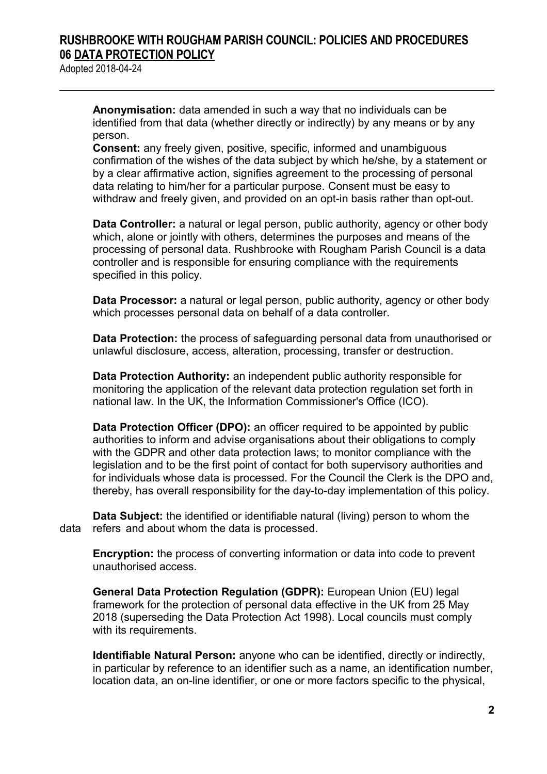Adopted 2018-04-24

**Anonymisation:** data amended in such a way that no individuals can be identified from that data (whether directly or indirectly) by any means or by any person.

**Consent:** any freely given, positive, specific, informed and unambiguous confirmation of the wishes of the data subject by which he/she, by a statement or by a clear affirmative action, signifies agreement to the processing of personal data relating to him/her for a particular purpose. Consent must be easy to withdraw and freely given, and provided on an opt-in basis rather than opt-out.

**Data Controller:** a natural or legal person, public authority, agency or other body which, alone or jointly with others, determines the purposes and means of the processing of personal data. Rushbrooke with Rougham Parish Council is a data controller and is responsible for ensuring compliance with the requirements specified in this policy.

**Data Processor:** a natural or legal person, public authority, agency or other body which processes personal data on behalf of a data controller.

**Data Protection:** the process of safeguarding personal data from unauthorised or unlawful disclosure, access, alteration, processing, transfer or destruction.

**Data Protection Authority:** an independent public authority responsible for monitoring the application of the relevant data protection regulation set forth in national law. In the UK, the Information Commissioner's Office (ICO).

**Data Protection Officer (DPO):** an officer required to be appointed by public authorities to inform and advise organisations about their obligations to comply with the GDPR and other data protection laws; to monitor compliance with the legislation and to be the first point of contact for both supervisory authorities and for individuals whose data is processed. For the Council the Clerk is the DPO and, thereby, has overall responsibility for the day-to-day implementation of this policy.

**Data Subject:** the identified or identifiable natural (living) person to whom the data refers and about whom the data is processed.

**Encryption:** the process of converting information or data into code to prevent unauthorised access.

**General Data Protection Regulation (GDPR):** European Union (EU) legal framework for the protection of personal data effective in the UK from 25 May 2018 (superseding the Data Protection Act 1998). Local councils must comply with its requirements.

**Identifiable Natural Person:** anyone who can be identified, directly or indirectly, in particular by reference to an identifier such as a name, an identification number, location data, an on-line identifier, or one or more factors specific to the physical,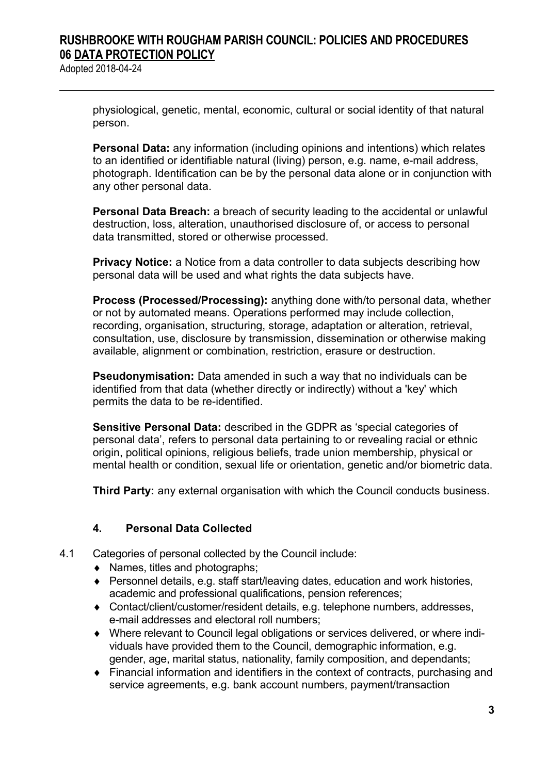Adopted 2018-04-24

physiological, genetic, mental, economic, cultural or social identity of that natural person.

**Personal Data:** any information (including opinions and intentions) which relates to an identified or identifiable natural (living) person, e.g. name, e-mail address, photograph. Identification can be by the personal data alone or in conjunction with any other personal data.

**Personal Data Breach:** a breach of security leading to the accidental or unlawful destruction, loss, alteration, unauthorised disclosure of, or access to personal data transmitted, stored or otherwise processed.

**Privacy Notice:** a Notice from a data controller to data subjects describing how personal data will be used and what rights the data subjects have.

**Process (Processed/Processing):** anything done with/to personal data, whether or not by automated means. Operations performed may include collection, recording, organisation, structuring, storage, adaptation or alteration, retrieval, consultation, use, disclosure by transmission, dissemination or otherwise making available, alignment or combination, restriction, erasure or destruction.

**Pseudonymisation:** Data amended in such a way that no individuals can be identified from that data (whether directly or indirectly) without a 'key' which permits the data to be re-identified.

**Sensitive Personal Data:** described in the GDPR as 'special categories of personal data', refers to personal data pertaining to or revealing racial or ethnic origin, political opinions, religious beliefs, trade union membership, physical or mental health or condition, sexual life or orientation, genetic and/or biometric data.

**Third Party:** any external organisation with which the Council conducts business.

### **4. Personal Data Collected**

- 4.1 Categories of personal collected by the Council include:
	- Names, titles and photographs;
	- ◆ Personnel details, e.g. staff start/leaving dates, education and work histories, academic and professional qualifications, pension references;
	- Contact/client/customer/resident details, e.g. telephone numbers, addresses, e-mail addresses and electoral roll numbers;
	- Where relevant to Council legal obligations or services delivered, or where individuals have provided them to the Council, demographic information, e.g. gender, age, marital status, nationality, family composition, and dependants;
	- Financial information and identifiers in the context of contracts, purchasing and service agreements, e.g. bank account numbers, payment/transaction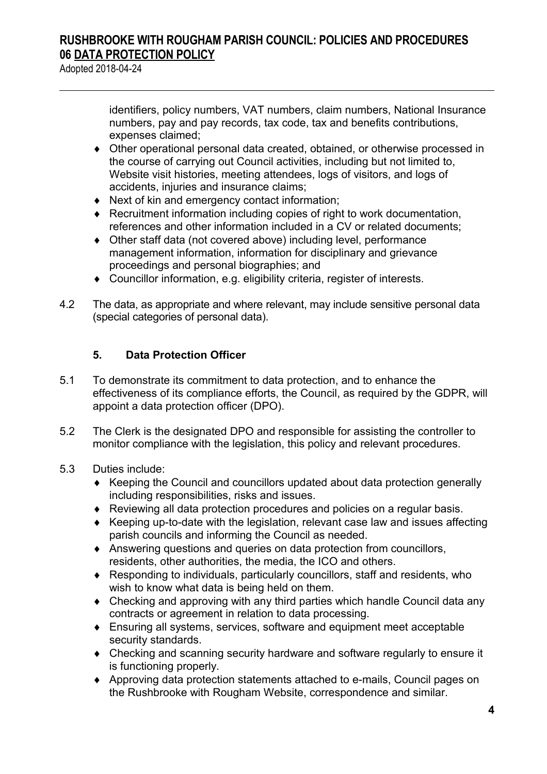Adopted 2018-04-24

identifiers, policy numbers, VAT numbers, claim numbers, National Insurance numbers, pay and pay records, tax code, tax and benefits contributions, expenses claimed;

- Other operational personal data created, obtained, or otherwise processed in the course of carrying out Council activities, including but not limited to, Website visit histories, meeting attendees, logs of visitors, and logs of accidents, injuries and insurance claims;
- ◆ Next of kin and emergency contact information;
- Recruitment information including copies of right to work documentation, references and other information included in a CV or related documents;
- Other staff data (not covered above) including level, performance management information, information for disciplinary and grievance proceedings and personal biographies; and
- Councillor information, e.g. eligibility criteria, register of interests.
- 4.2 The data, as appropriate and where relevant, may include sensitive personal data (special categories of personal data).

### **5. Data Protection Officer**

- 5.1 To demonstrate its commitment to data protection, and to enhance the effectiveness of its compliance efforts, the Council, as required by the GDPR, will appoint a data protection officer (DPO).
- 5.2 The Clerk is the designated DPO and responsible for assisting the controller to monitor compliance with the legislation, this policy and relevant procedures.
- 5.3 Duties include:
	- Keeping the Council and councillors updated about data protection generally including responsibilities, risks and issues.
	- Reviewing all data protection procedures and policies on a regular basis.
	- Keeping up-to-date with the legislation, relevant case law and issues affecting parish councils and informing the Council as needed.
	- Answering questions and queries on data protection from councillors, residents, other authorities, the media, the ICO and others.
	- Responding to individuals, particularly councillors, staff and residents, who wish to know what data is being held on them.
	- Checking and approving with any third parties which handle Council data any contracts or agreement in relation to data processing.
	- Ensuring all systems, services, software and equipment meet acceptable security standards.
	- Checking and scanning security hardware and software regularly to ensure it is functioning properly.
	- Approving data protection statements attached to e-mails, Council pages on the Rushbrooke with Rougham Website, correspondence and similar.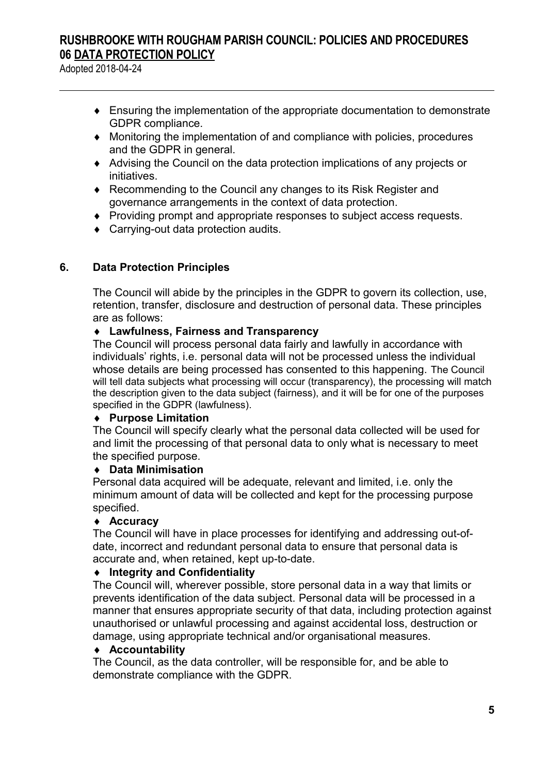Adopted 2018-04-24

- Ensuring the implementation of the appropriate documentation to demonstrate GDPR compliance.
- Monitoring the implementation of and compliance with policies, procedures and the GDPR in general.
- Advising the Council on the data protection implications of any projects or initiatives.
- Recommending to the Council any changes to its Risk Register and governance arrangements in the context of data protection.
- Providing prompt and appropriate responses to subject access requests.
- ◆ Carrying-out data protection audits.

#### **6. Data Protection Principles**

The Council will abide by the principles in the GDPR to govern its collection, use, retention, transfer, disclosure and destruction of personal data. These principles are as follows:

#### **Lawfulness, Fairness and Transparency**

The Council will process personal data fairly and lawfully in accordance with individuals' rights, i.e. personal data will not be processed unless the individual whose details are being processed has consented to this happening. The Council will tell data subjects what processing will occur (transparency), the processing will match the description given to the data subject (fairness), and it will be for one of the purposes specified in the GDPR (lawfulness).

#### **Purpose Limitation**

The Council will specify clearly what the personal data collected will be used for and limit the processing of that personal data to only what is necessary to meet the specified purpose.

#### **Data Minimisation**

Personal data acquired will be adequate, relevant and limited, i.e. only the minimum amount of data will be collected and kept for the processing purpose specified.

#### **Accuracy**

The Council will have in place processes for identifying and addressing out-ofdate, incorrect and redundant personal data to ensure that personal data is accurate and, when retained, kept up-to-date.

#### **Integrity and Confidentiality**

The Council will, wherever possible, store personal data in a way that limits or prevents identification of the data subject. Personal data will be processed in a manner that ensures appropriate security of that data, including protection against unauthorised or unlawful processing and against accidental loss, destruction or damage, using appropriate technical and/or organisational measures.

#### **Accountability**

The Council, as the data controller, will be responsible for, and be able to demonstrate compliance with the GDPR.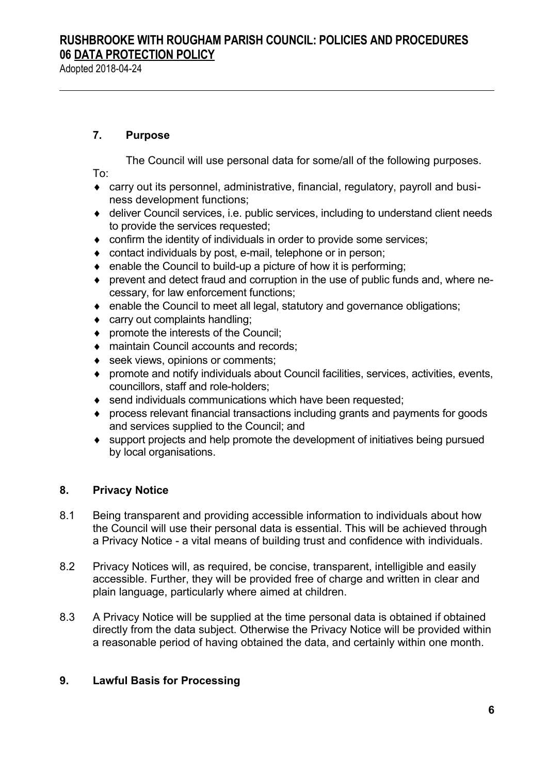Adopted 2018-04-24

#### **7. Purpose**

The Council will use personal data for some/all of the following purposes. To:

- carry out its personnel, administrative, financial, regulatory, payroll and business development functions;
- deliver Council services, i.e. public services, including to understand client needs to provide the services requested;
- confirm the identity of individuals in order to provide some services;
- contact individuals by post, e-mail, telephone or in person;
- $\bullet$  enable the Council to build-up a picture of how it is performing;
- prevent and detect fraud and corruption in the use of public funds and, where necessary, for law enforcement functions;
- enable the Council to meet all legal, statutory and governance obligations;
- ◆ carry out complaints handling;
- ◆ promote the interests of the Council;
- ◆ maintain Council accounts and records:
- ◆ seek views, opinions or comments:
- promote and notify individuals about Council facilities, services, activities, events, councillors, staff and role-holders;
- send individuals communications which have been requested;
- process relevant financial transactions including grants and payments for goods and services supplied to the Council; and
- support projects and help promote the development of initiatives being pursued by local organisations.

### **8. Privacy Notice**

- 8.1 Being transparent and providing accessible information to individuals about how the Council will use their personal data is essential. This will be achieved through a Privacy Notice - a vital means of building trust and confidence with individuals.
- 8.2 Privacy Notices will, as required, be concise, transparent, intelligible and easily accessible. Further, they will be provided free of charge and written in clear and plain language, particularly where aimed at children.
- 8.3 A Privacy Notice will be supplied at the time personal data is obtained if obtained directly from the data subject. Otherwise the Privacy Notice will be provided within a reasonable period of having obtained the data, and certainly within one month.

### **9. Lawful Basis for Processing**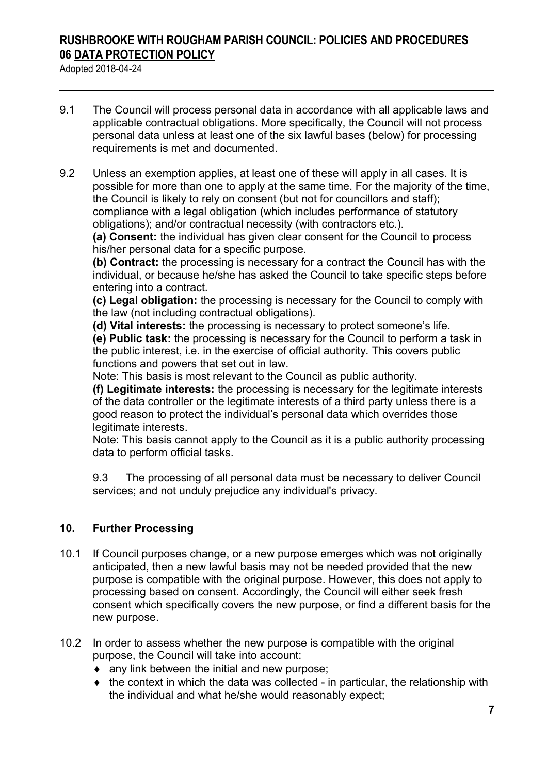Adopted 2018-04-24

- 9.1 The Council will process personal data in accordance with all applicable laws and applicable contractual obligations. More specifically, the Council will not process personal data unless at least one of the six lawful bases (below) for processing requirements is met and documented.
- 9.2 Unless an exemption applies, at least one of these will apply in all cases. It is possible for more than one to apply at the same time. For the majority of the time, the Council is likely to rely on consent (but not for councillors and staff); compliance with a legal obligation (which includes performance of statutory obligations); and/or contractual necessity (with contractors etc.).

**(a) Consent:** the individual has given clear consent for the Council to process his/her personal data for a specific purpose.

**(b) Contract:** the processing is necessary for a contract the Council has with the individual, or because he/she has asked the Council to take specific steps before entering into a contract.

**(c) Legal obligation:** the processing is necessary for the Council to comply with the law (not including contractual obligations).

**(d) Vital interests:** the processing is necessary to protect someone's life.

**(e) Public task:** the processing is necessary for the Council to perform a task in the public interest, i.e. in the exercise of official authority. This covers public functions and powers that set out in law.

Note: This basis is most relevant to the Council as public authority.

**(f) Legitimate interests:** the processing is necessary for the legitimate interests of the data controller or the legitimate interests of a third party unless there is a good reason to protect the individual's personal data which overrides those legitimate interests.

Note: This basis cannot apply to the Council as it is a public authority processing data to perform official tasks.

9.3 The processing of all personal data must be necessary to deliver Council services; and not unduly prejudice any individual's privacy.

### **10. Further Processing**

- 10.1 If Council purposes change, or a new purpose emerges which was not originally anticipated, then a new lawful basis may not be needed provided that the new purpose is compatible with the original purpose. However, this does not apply to processing based on consent. Accordingly, the Council will either seek fresh consent which specifically covers the new purpose, or find a different basis for the new purpose.
- 10.2 In order to assess whether the new purpose is compatible with the original purpose, the Council will take into account:
	- $\bullet$  any link between the initial and new purpose;
	- $\bullet$  the context in which the data was collected in particular, the relationship with the individual and what he/she would reasonably expect;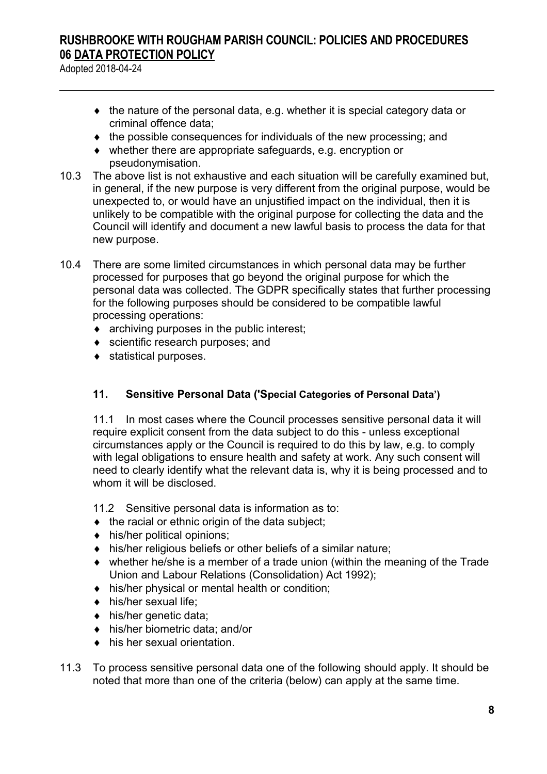Adopted 2018-04-24

- the nature of the personal data, e.g. whether it is special category data or criminal offence data;
- the possible consequences for individuals of the new processing; and
- whether there are appropriate safeguards, e.g. encryption or pseudonymisation.
- 10.3 The above list is not exhaustive and each situation will be carefully examined but, in general, if the new purpose is very different from the original purpose, would be unexpected to, or would have an unjustified impact on the individual, then it is unlikely to be compatible with the original purpose for collecting the data and the Council will identify and document a new lawful basis to process the data for that new purpose.
- 10.4 There are some limited circumstances in which personal data may be further processed for purposes that go beyond the original purpose for which the personal data was collected. The GDPR specifically states that further processing for the following purposes should be considered to be compatible lawful processing operations:
	- archiving purposes in the public interest;
	- ◆ scientific research purposes: and
	- statistical purposes.

### **11. Sensitive Personal Data ('Special Categories of Personal Data')**

11.1 In most cases where the Council processes sensitive personal data it will require explicit consent from the data subject to do this - unless exceptional circumstances apply or the Council is required to do this by law, e.g. to comply with legal obligations to ensure health and safety at work. Any such consent will need to clearly identify what the relevant data is, why it is being processed and to whom it will be disclosed.

- 11.2 Sensitive personal data is information as to:
- $\bullet$  the racial or ethnic origin of the data subject;
- $\bullet$  his/her political opinions;
- his/her religious beliefs or other beliefs of a similar nature;
- whether he/she is a member of a trade union (within the meaning of the Trade Union and Labour Relations (Consolidation) Act 1992);
- his/her physical or mental health or condition;
- $\bullet$  his/her sexual life:
- his/her genetic data;
- his/her biometric data; and/or
- his her sexual orientation.
- 11.3 To process sensitive personal data one of the following should apply. It should be noted that more than one of the criteria (below) can apply at the same time.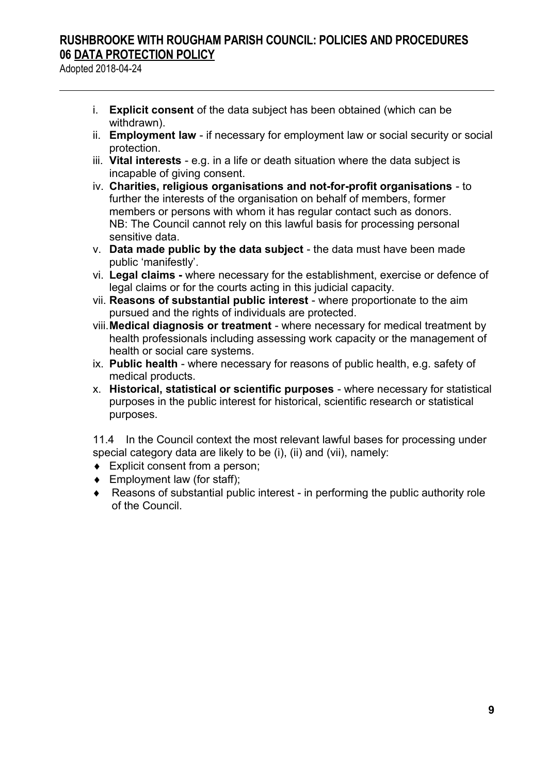Adopted 2018-04-24

- i. **Explicit consent** of the data subject has been obtained (which can be withdrawn).
- ii. **Employment law**  if necessary for employment law or social security or social protection.
- iii. **Vital interests**  e.g. in a life or death situation where the data subject is incapable of giving consent.
- iv. **Charities, religious organisations and not-for-profit organisations**  to further the interests of the organisation on behalf of members, former members or persons with whom it has regular contact such as donors. NB: The Council cannot rely on this lawful basis for processing personal sensitive data.
- v. **Data made public by the data subject** the data must have been made public 'manifestly'.
- vi. **Legal claims** where necessary for the establishment, exercise or defence of legal claims or for the courts acting in this judicial capacity.
- vii. **Reasons of substantial public interest**  where proportionate to the aim pursued and the rights of individuals are protected.
- viii.**Medical diagnosis or treatment** where necessary for medical treatment by health professionals including assessing work capacity or the management of health or social care systems.
- ix. **Public health** where necessary for reasons of public health, e.g. safety of medical products.
- x. **Historical, statistical or scientific purposes** where necessary for statistical purposes in the public interest for historical, scientific research or statistical purposes.

11.4 In the Council context the most relevant lawful bases for processing under special category data are likely to be (i), (ii) and (vii), namely:

- ◆ Explicit consent from a person;
- Employment law (for staff);
- Reasons of substantial public interest in performing the public authority role of the Council.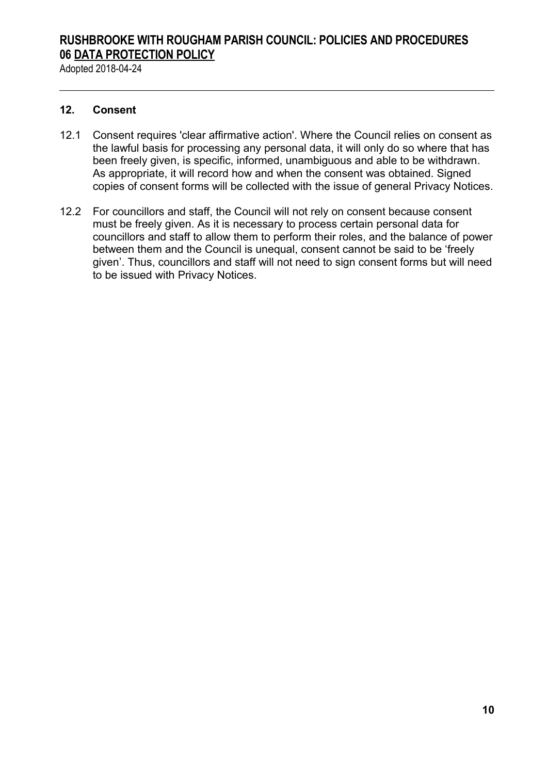Adopted 2018-04-24

#### **12. Consent**

- 12.1 Consent requires 'clear affirmative action'. Where the Council relies on consent as the lawful basis for processing any personal data, it will only do so where that has been freely given, is specific, informed, unambiguous and able to be withdrawn. As appropriate, it will record how and when the consent was obtained. Signed copies of consent forms will be collected with the issue of general Privacy Notices.
- 12.2 For councillors and staff, the Council will not rely on consent because consent must be freely given. As it is necessary to process certain personal data for councillors and staff to allow them to perform their roles, and the balance of power between them and the Council is unequal, consent cannot be said to be 'freely given'. Thus, councillors and staff will not need to sign consent forms but will need to be issued with Privacy Notices.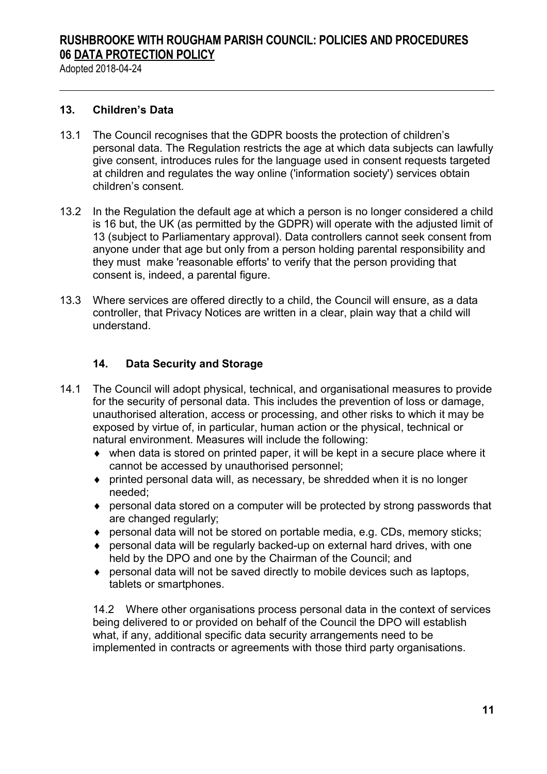Adopted 2018-04-24

#### **13. Children's Data**

- 13.1 The Council recognises that the GDPR boosts the protection of children's personal data. The Regulation restricts the age at which data subjects can lawfully give consent, introduces rules for the language used in consent requests targeted at children and regulates the way online ('information society') services obtain children's consent.
- 13.2 In the Regulation the default age at which a person is no longer considered a child is 16 but, the UK (as permitted by the GDPR) will operate with the adjusted limit of 13 (subject to Parliamentary approval). Data controllers cannot seek consent from anyone under that age but only from a person holding parental responsibility and they must make 'reasonable efforts' to verify that the person providing that consent is, indeed, a parental figure.
- 13.3 Where services are offered directly to a child, the Council will ensure, as a data controller, that Privacy Notices are written in a clear, plain way that a child will understand.

#### **14. Data Security and Storage**

- 14.1 The Council will adopt physical, technical, and organisational measures to provide for the security of personal data. This includes the prevention of loss or damage, unauthorised alteration, access or processing, and other risks to which it may be exposed by virtue of, in particular, human action or the physical, technical or natural environment. Measures will include the following:
	- when data is stored on printed paper, it will be kept in a secure place where it cannot be accessed by unauthorised personnel;
	- $\bullet$  printed personal data will, as necessary, be shredded when it is no longer needed;
	- personal data stored on a computer will be protected by strong passwords that are changed regularly;
	- personal data will not be stored on portable media, e.g. CDs, memory sticks;
	- personal data will be regularly backed-up on external hard drives, with one held by the DPO and one by the Chairman of the Council; and
	- personal data will not be saved directly to mobile devices such as laptops, tablets or smartphones.

14.2 Where other organisations process personal data in the context of services being delivered to or provided on behalf of the Council the DPO will establish what, if any, additional specific data security arrangements need to be implemented in contracts or agreements with those third party organisations.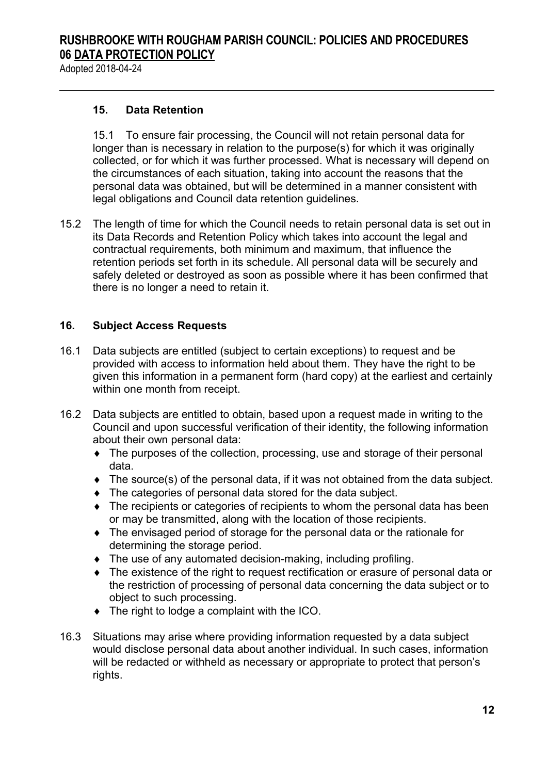Adopted 2018-04-24

#### **15. Data Retention**

15.1 To ensure fair processing, the Council will not retain personal data for longer than is necessary in relation to the purpose(s) for which it was originally collected, or for which it was further processed. What is necessary will depend on the circumstances of each situation, taking into account the reasons that the personal data was obtained, but will be determined in a manner consistent with legal obligations and Council data retention guidelines.

15.2 The length of time for which the Council needs to retain personal data is set out in its Data Records and Retention Policy which takes into account the legal and contractual requirements, both minimum and maximum, that influence the retention periods set forth in its schedule. All personal data will be securely and safely deleted or destroyed as soon as possible where it has been confirmed that there is no longer a need to retain it.

### **16. Subject Access Requests**

- 16.1 Data subjects are entitled (subject to certain exceptions) to request and be provided with access to information held about them. They have the right to be given this information in a permanent form (hard copy) at the earliest and certainly within one month from receipt.
- 16.2 Data subjects are entitled to obtain, based upon a request made in writing to the Council and upon successful verification of their identity, the following information about their own personal data:
	- The purposes of the collection, processing, use and storage of their personal data.
	- The source(s) of the personal data, if it was not obtained from the data subject.
	- The categories of personal data stored for the data subject.
	- The recipients or categories of recipients to whom the personal data has been or may be transmitted, along with the location of those recipients.
	- The envisaged period of storage for the personal data or the rationale for determining the storage period.
	- The use of any automated decision-making, including profiling.
	- The existence of the right to request rectification or erasure of personal data or the restriction of processing of personal data concerning the data subject or to object to such processing.
	- ◆ The right to lodge a complaint with the ICO.
- 16.3 Situations may arise where providing information requested by a data subject would disclose personal data about another individual. In such cases, information will be redacted or withheld as necessary or appropriate to protect that person's rights.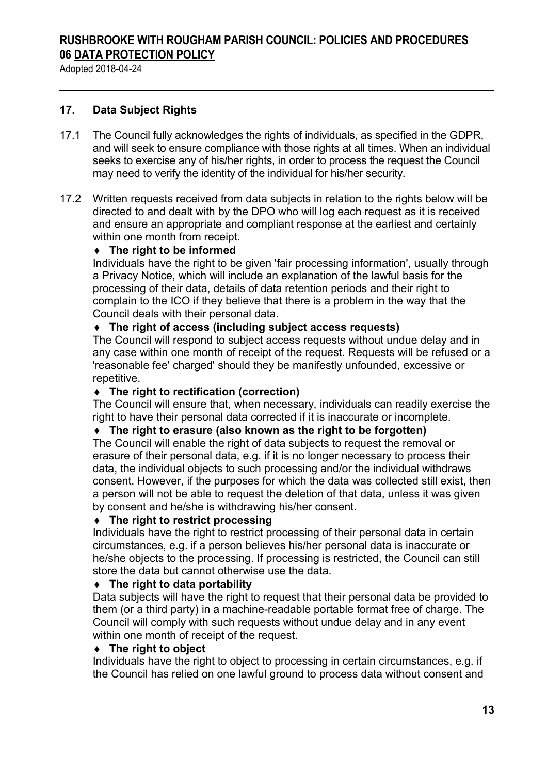Adopted 2018-04-24

#### **17. Data Subject Rights**

- 17.1 The Council fully acknowledges the rights of individuals, as specified in the GDPR, and will seek to ensure compliance with those rights at all times. When an individual seeks to exercise any of his/her rights, in order to process the request the Council may need to verify the identity of the individual for his/her security.
- 17.2 Written requests received from data subjects in relation to the rights below will be directed to and dealt with by the DPO who will log each request as it is received and ensure an appropriate and compliant response at the earliest and certainly within one month from receipt.

#### **The right to be informed**

Individuals have the right to be given 'fair processing information', usually through a Privacy Notice, which will include an explanation of the lawful basis for the processing of their data, details of data retention periods and their right to complain to the ICO if they believe that there is a problem in the way that the Council deals with their personal data.

#### **The right of access (including subject access requests)**

The Council will respond to subject access requests without undue delay and in any case within one month of receipt of the request. Requests will be refused or a 'reasonable fee' charged' should they be manifestly unfounded, excessive or repetitive.

#### **The right to rectification (correction)**

The Council will ensure that, when necessary, individuals can readily exercise the right to have their personal data corrected if it is inaccurate or incomplete.

#### **The right to erasure (also known as the right to be forgotten)**

The Council will enable the right of data subjects to request the removal or erasure of their personal data, e.g. if it is no longer necessary to process their data, the individual objects to such processing and/or the individual withdraws consent. However, if the purposes for which the data was collected still exist, then a person will not be able to request the deletion of that data, unless it was given by consent and he/she is withdrawing his/her consent.

#### **The right to restrict processing**

Individuals have the right to restrict processing of their personal data in certain circumstances, e.g. if a person believes his/her personal data is inaccurate or he/she objects to the processing. If processing is restricted, the Council can still store the data but cannot otherwise use the data.

#### **The right to data portability**

Data subjects will have the right to request that their personal data be provided to them (or a third party) in a machine-readable portable format free of charge. The Council will comply with such requests without undue delay and in any event within one month of receipt of the request.

#### **The right to object**

Individuals have the right to object to processing in certain circumstances, e.g. if the Council has relied on one lawful ground to process data without consent and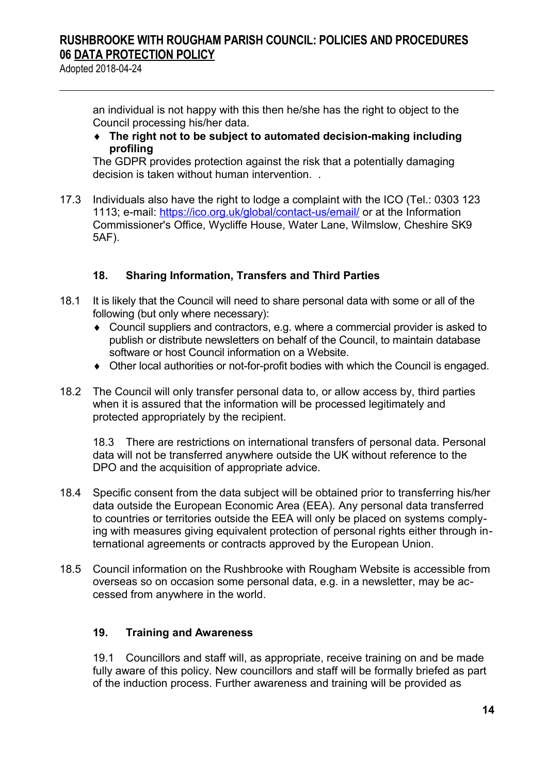Adopted 2018-04-24

an individual is not happy with this then he/she has the right to object to the Council processing his/her data.

 **The right not to be subject to automated decision-making including profiling**

The GDPR provides protection against the risk that a potentially damaging decision is taken without human intervention. .

17.3 Individuals also have the right to lodge a complaint with the ICO (Tel.: 0303 123 1113; e-mail:<https://ico.org.uk/global/contact-us/email/>or at the Information Commissioner's Office, Wycliffe House, Water Lane, Wilmslow, Cheshire SK9 5AF).

### **18. Sharing Information, Transfers and Third Parties**

- 18.1 It is likely that the Council will need to share personal data with some or all of the following (but only where necessary):
	- Council suppliers and contractors, e.g. where a commercial provider is asked to publish or distribute newsletters on behalf of the Council, to maintain database software or host Council information on a Website.
	- Other local authorities or not-for-profit bodies with which the Council is engaged.
- 18.2 The Council will only transfer personal data to, or allow access by, third parties when it is assured that the information will be processed legitimately and protected appropriately by the recipient.

18.3 There are restrictions on international transfers of personal data. Personal data will not be transferred anywhere outside the UK without reference to the DPO and the acquisition of appropriate advice.

- 18.4 Specific consent from the data subject will be obtained prior to transferring his/her data outside the European Economic Area (EEA). Any personal data transferred to countries or territories outside the EEA will only be placed on systems complying with measures giving equivalent protection of personal rights either through international agreements or contracts approved by the European Union.
- 18.5 Council information on the Rushbrooke with Rougham Website is accessible from overseas so on occasion some personal data, e.g. in a newsletter, may be accessed from anywhere in the world.

### **19. Training and Awareness**

19.1 Councillors and staff will, as appropriate, receive training on and be made fully aware of this policy. New councillors and staff will be formally briefed as part of the induction process. Further awareness and training will be provided as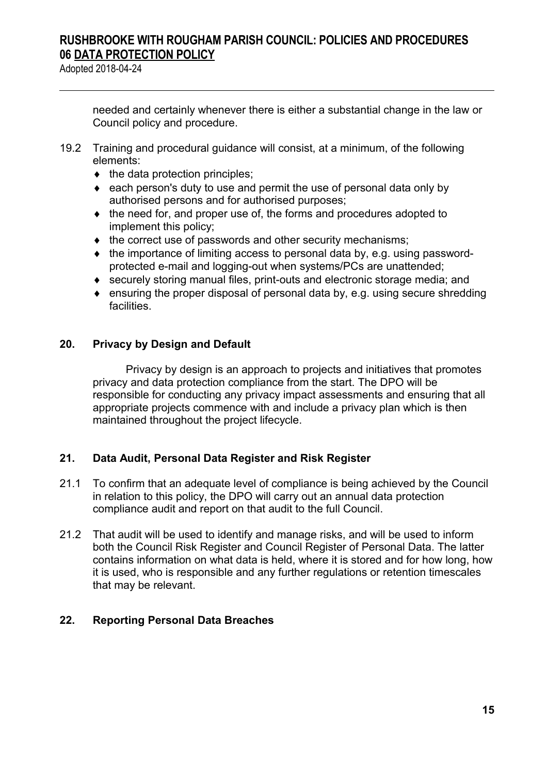Adopted 2018-04-24

needed and certainly whenever there is either a substantial change in the law or Council policy and procedure.

- 19.2 Training and procedural guidance will consist, at a minimum, of the following elements:
	- $\bullet$  the data protection principles;
	- each person's duty to use and permit the use of personal data only by authorised persons and for authorised purposes;
	- $\bullet$  the need for, and proper use of, the forms and procedures adopted to implement this policy;
	- $\bullet$  the correct use of passwords and other security mechanisms;
	- $\bullet$  the importance of limiting access to personal data by, e.g. using passwordprotected e-mail and logging-out when systems/PCs are unattended;
	- securely storing manual files, print-outs and electronic storage media; and
	- ensuring the proper disposal of personal data by, e.g. using secure shredding facilities.

#### **20. Privacy by Design and Default**

Privacy by design is an approach to projects and initiatives that promotes privacy and data protection compliance from the start. The DPO will be responsible for conducting any privacy impact assessments and ensuring that all appropriate projects commence with and include a privacy plan which is then maintained throughout the project lifecycle.

#### **21. Data Audit, Personal Data Register and Risk Register**

- 21.1 To confirm that an adequate level of compliance is being achieved by the Council in relation to this policy, the DPO will carry out an annual data protection compliance audit and report on that audit to the full Council.
- 21.2 That audit will be used to identify and manage risks, and will be used to inform both the Council Risk Register and Council Register of Personal Data. The latter contains information on what data is held, where it is stored and for how long, how it is used, who is responsible and any further regulations or retention timescales that may be relevant.

### **22. Reporting Personal Data Breaches**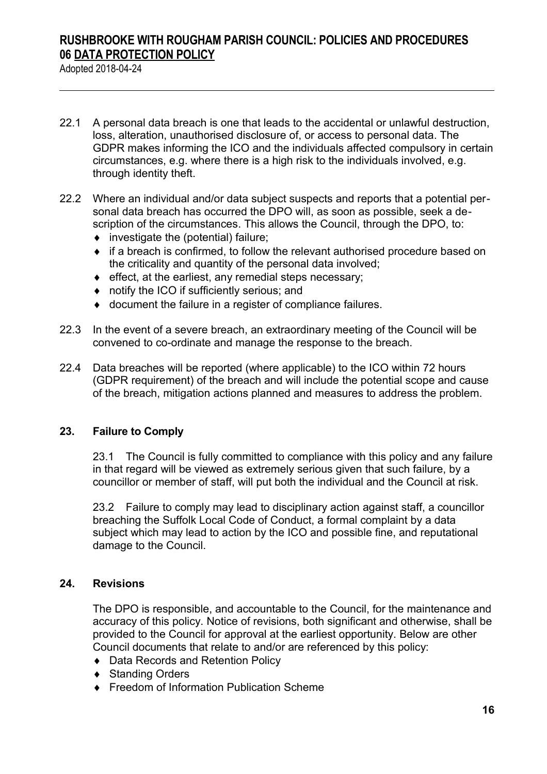Adopted 2018-04-24

- 22.1 A personal data breach is one that leads to the accidental or unlawful destruction, loss, alteration, unauthorised disclosure of, or access to personal data. The GDPR makes informing the ICO and the individuals affected compulsory in certain circumstances, e.g. where there is a high risk to the individuals involved, e.g. through identity theft.
- 22.2 Where an individual and/or data subject suspects and reports that a potential personal data breach has occurred the DPO will, as soon as possible, seek a description of the circumstances. This allows the Council, through the DPO, to:
	- $\bullet$  investigate the (potential) failure;
	- if a breach is confirmed, to follow the relevant authorised procedure based on the criticality and quantity of the personal data involved;
	- $\bullet$  effect, at the earliest, any remedial steps necessary;
	- ◆ notify the ICO if sufficiently serious: and
	- document the failure in a register of compliance failures.
- 22.3 In the event of a severe breach, an extraordinary meeting of the Council will be convened to co-ordinate and manage the response to the breach.
- 22.4 Data breaches will be reported (where applicable) to the ICO within 72 hours (GDPR requirement) of the breach and will include the potential scope and cause of the breach, mitigation actions planned and measures to address the problem.

#### **23. Failure to Comply**

23.1 The Council is fully committed to compliance with this policy and any failure in that regard will be viewed as extremely serious given that such failure, by a councillor or member of staff, will put both the individual and the Council at risk.

23.2 Failure to comply may lead to disciplinary action against staff, a councillor breaching the Suffolk Local Code of Conduct, a formal complaint by a data subject which may lead to action by the ICO and possible fine, and reputational damage to the Council.

#### **24. Revisions**

The DPO is responsible, and accountable to the Council, for the maintenance and accuracy of this policy. Notice of revisions, both significant and otherwise, shall be provided to the Council for approval at the earliest opportunity. Below are other Council documents that relate to and/or are referenced by this policy:

- ◆ Data Records and Retention Policy
- ◆ Standing Orders
- ◆ Freedom of Information Publication Scheme